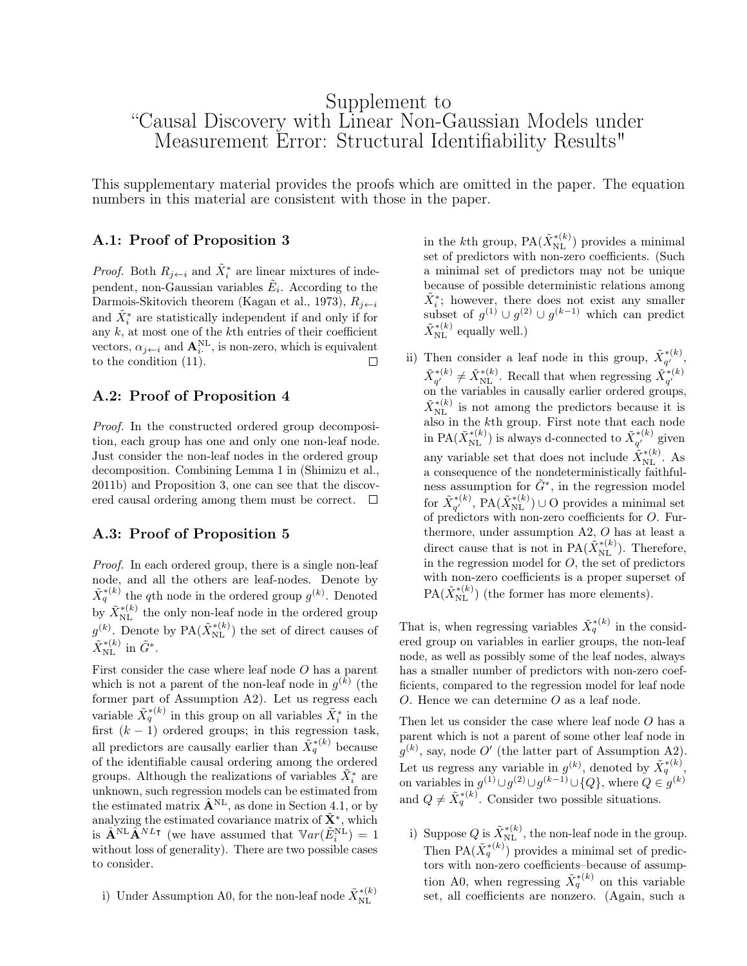# Supplement to "Causal Discovery with Linear Non-Gaussian Models under Measurement Error: Structural Identifiability Results"

This supplementary material provides the proofs which are omitted in the paper. The equation numbers in this material are consistent with those in the paper.

## A.1: Proof of Proposition 3

*Proof.* Both  $R_{j \leftarrow i}$  and  $\tilde{X}_i^*$  are linear mixtures of independent, non-Gaussian variables  $E_i$ . According to the Darmois-Skitovich theorem (Kagan et al., 1973),  $R_{j \leftarrow i}$ and  $\tilde{X}_i^*$  are statistically independent if and only if for any *k*, at most one of the *k*th entries of their coefficient vectors,  $\alpha_{j \leftarrow i}$  and  $\mathbf{A}_{i}^{NL}$ , is non-zero, which is equivalent to the condition (11).

## A.2: Proof of Proposition 4

*Proof.* In the constructed ordered group decomposition, each group has one and only one non-leaf node. Just consider the non-leaf nodes in the ordered group decomposition. Combining Lemma 1 in (Shimizu et al., 2011b) and Proposition 3, one can see that the discovered causal ordering among them must be correct.  $\Box$ 

#### A.3: Proof of Proposition 5

*Proof.* In each ordered group, there is a single non-leaf node, and all the others are leaf-nodes. Denote by  $\tilde{X}_q^{*(k)}$  the *q*th node in the ordered group  $g^{(k)}$ . Denoted by  $\tilde{X}_{\text{NL}}^{*(k)}$  the only non-leaf node in the ordered group  $g^{(k)}$ . Denote by PA $(\tilde{X}_{\text{NL}}^{*(k)})$  the set of direct causes of  $\tilde{X}_{\text{NL}}^{*(k)}$  in  $\tilde{G}^*$ .

First consider the case where leaf node *O* has a parent which is not a parent of the non-leaf node in  $g^{(k)}$  (the former part of Assumption A2). Let us regress each variable  $\tilde{X}_q^{*(k)}$  in this group on all variables  $\tilde{X}_i^*$  in the first  $(k - 1)$  ordered groups; in this regression task, all predictors are causally earlier than  $\tilde{X}^{*(k)}_q$  because of the identifiable causal ordering among the ordered groups. Although the realizations of variables  $\tilde{X}_i^*$  are unknown, such regression models can be estimated from the estimated matrix  $\hat{\mathbf{A}}^{NL}$ , as done in Section 4.1, or by analyzing the estimated covariance matrix of  $\tilde{\mathbf{X}}^*$ , which is  $\hat{\mathbf{A}}^{\text{NL}} \hat{\mathbf{A}}^{NL}$  (we have assumed that  $\mathbb{V}ar(\tilde{E}_{i}^{\text{NL}})=1$ without loss of generality). There are two possible cases to consider.

i) Under Assumption A0, for the non-leaf node  $\tilde{X}_{\text{NL}}^{*(k)}$ 

in the *k*<sup>th</sup> group,  $PA(\tilde{X}_{\text{NL}}^{*(k)})$  provides a minimal set of predictors with non-zero coefficients. (Such a minimal set of predictors may not be unique because of possible deterministic relations among  $\tilde{X}_i^*$ ; however, there does not exist any smaller subset of  $g^{(1)} \cup g^{(2)} \cup g^{(k-1)}$  which can predict  $\tilde{X}_{\text{NL}}^{*(k)}$  equally well.)

ii) Then consider a leaf node in this group,  $\tilde{X}_{q'}^{*(k)}$ ,  $\tilde{X}_{q'}^{*(k)} \neq \tilde{X}_{\text{NL}}^{*(k)}$ . Recall that when regressing  $\tilde{X}_{q'}^{*(k)}$  on the variables in causally earlier ordered groups,  $\tilde{X}_{\text{NL}}^{*(k)}$  is not among the predictors because it is also in the *k*th group. First note that each node in PA( $\tilde{X}^{*(k)}_{\text{NL}}$ ) is always d-connected to  $\tilde{X}^{*(k)}_{q'}$  given any variable set that does not include  $\tilde{X}_{\text{NL}}^{*(k)}$ . As a consequence of the nondeterministically faithfulness assumption for  $\tilde{G}^*$ , in the regression model for  $\tilde{X}_{q'}^{*(k)}$ , PA $(\tilde{X}_{\text{NL}}^{*(k)}) \cup \text{O}$  provides a minimal set of predictors with non-zero coefficients for *O*. Furthermore, under assumption A2, *O* has at least a direct cause that is not in  $\text{PA}(\tilde{X}_{\text{NL}}^{*(k)})$ . Therefore, in the regression model for *O*, the set of predictors with non-zero coefficients is a proper superset of  $\text{PA}(\tilde{X}_{\text{NL}}^{*(k)})$  (the former has more elements).

That is, when regressing variables  $\tilde{X}_q^{*(k)}$  in the considered group on variables in earlier groups, the non-leaf node, as well as possibly some of the leaf nodes, always has a smaller number of predictors with non-zero coefficients, compared to the regression model for leaf node *O*. Hence we can determine *O* as a leaf node.

Then let us consider the case where leaf node *O* has a parent which is not a parent of some other leaf node in  $g^{(k)}$ , say, node *O'* (the latter part of Assumption A2). Let us regress any variable in  $g^{(k)}$ , denoted by  $\tilde{X}_q^{*(k)}$ , on variables in  $g^{(1)} \cup g^{(2)} \cup g^{(k-1)} \cup \{Q\}$ , where  $Q \in g^{(k)}$ and  $Q \neq \tilde{X}_q^{*(k)}$ . Consider two possible situations.

i) Suppose  $Q$  is  $\tilde{X}_{\text{NL}}^{*(k)}$ , the non-leaf node in the group. Then  $\text{PA}(\tilde{X}^{*(k)}_q)$  provides a minimal set of predictors with non-zero coefficients–because of assumption A0, when regressing  $\tilde{X}_q^{*(k)}$  on this variable set, all coefficients are nonzero. (Again, such a